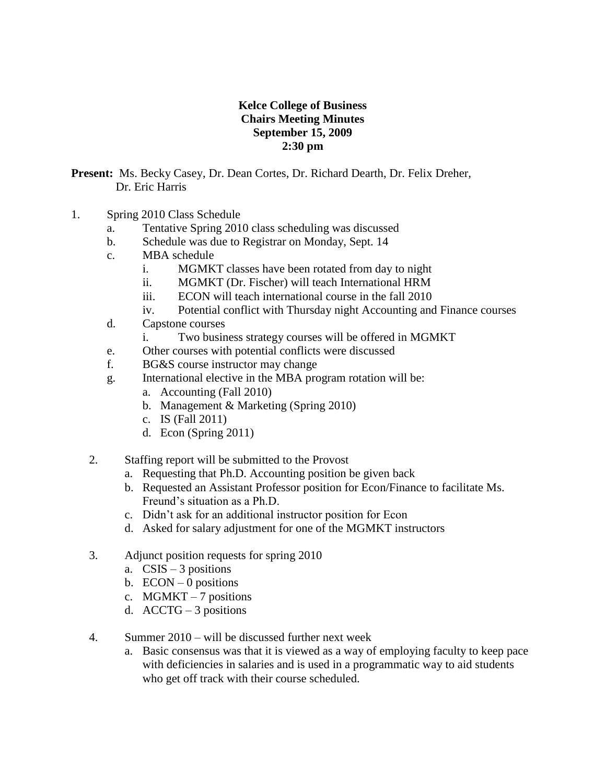## **Kelce College of Business Chairs Meeting Minutes September 15, 2009 2:30 pm**

**Present:** Ms. Becky Casey, Dr. Dean Cortes, Dr. Richard Dearth, Dr. Felix Dreher, Dr. Eric Harris

- 1. Spring 2010 Class Schedule
	- a. Tentative Spring 2010 class scheduling was discussed
	- b. Schedule was due to Registrar on Monday, Sept. 14
	- c. MBA schedule
		- i. MGMKT classes have been rotated from day to night
		- ii. MGMKT (Dr. Fischer) will teach International HRM
		- iii. ECON will teach international course in the fall 2010
		- iv. Potential conflict with Thursday night Accounting and Finance courses
	- d. Capstone courses
		- i. Two business strategy courses will be offered in MGMKT
	- e. Other courses with potential conflicts were discussed
	- f. BG&S course instructor may change
	- g. International elective in the MBA program rotation will be:
		- a. Accounting (Fall 2010)
		- b. Management & Marketing (Spring 2010)
		- c. IS (Fall 2011)
		- d. Econ (Spring 2011)
	- 2. Staffing report will be submitted to the Provost
		- a. Requesting that Ph.D. Accounting position be given back
		- b. Requested an Assistant Professor position for Econ/Finance to facilitate Ms. Freund's situation as a Ph.D.
		- c. Didn't ask for an additional instructor position for Econ
		- d. Asked for salary adjustment for one of the MGMKT instructors
	- 3. Adjunct position requests for spring 2010
		- a.  $CSIS 3$  positions
		- b.  $ECON-0$  positions
		- c. MGMKT 7 positions
		- d.  $\text{A}\text{C}\text{CT}\text{G} 3$  positions
	- 4. Summer 2010 will be discussed further next week
		- a. Basic consensus was that it is viewed as a way of employing faculty to keep pace with deficiencies in salaries and is used in a programmatic way to aid students who get off track with their course scheduled.